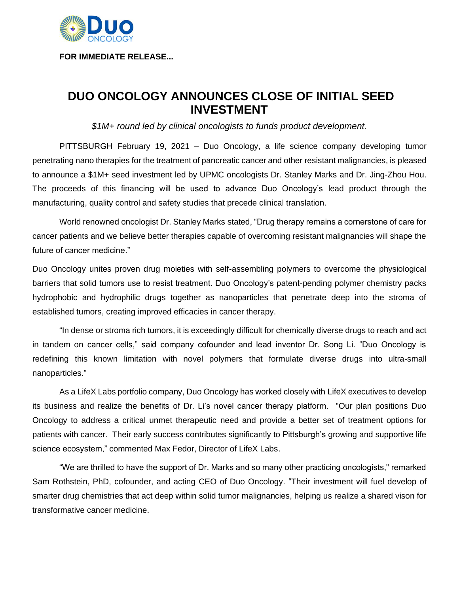

**FOR IMMEDIATE RELEASE...**

## **DUO ONCOLOGY ANNOUNCES CLOSE OF INITIAL SEED INVESTMENT**

*\$1M+ round led by clinical oncologists to funds product development.*

PITTSBURGH February 19, 2021 – Duo Oncology, a life science company developing tumor penetrating nano therapies for the treatment of pancreatic cancer and other resistant malignancies, is pleased to announce a \$1M+ seed investment led by UPMC oncologists Dr. Stanley Marks and Dr. Jing-Zhou Hou. The proceeds of this financing will be used to advance Duo Oncology's lead product through the manufacturing, quality control and safety studies that precede clinical translation.

World renowned oncologist Dr. Stanley Marks stated, "Drug therapy remains a cornerstone of care for cancer patients and we believe better therapies capable of overcoming resistant malignancies will shape the future of cancer medicine."

Duo Oncology unites proven drug moieties with self-assembling polymers to overcome the physiological barriers that solid tumors use to resist treatment. Duo Oncology's patent-pending polymer chemistry packs hydrophobic and hydrophilic drugs together as nanoparticles that penetrate deep into the stroma of established tumors, creating improved efficacies in cancer therapy.

"In dense or stroma rich tumors, it is exceedingly difficult for chemically diverse drugs to reach and act in tandem on cancer cells," said company cofounder and lead inventor Dr. Song Li. "Duo Oncology is redefining this known limitation with novel polymers that formulate diverse drugs into ultra-small nanoparticles."

As a LifeX Labs portfolio company, Duo Oncology has worked closely with LifeX executives to develop its business and realize the benefits of Dr. Li's novel cancer therapy platform. "Our plan positions Duo Oncology to address a critical unmet therapeutic need and provide a better set of treatment options for patients with cancer. Their early success contributes significantly to Pittsburgh's growing and supportive life science ecosystem," commented Max Fedor, Director of LifeX Labs.

"We are thrilled to have the support of Dr. Marks and so many other practicing oncologists," remarked Sam Rothstein, PhD, cofounder, and acting CEO of Duo Oncology. "Their investment will fuel develop of smarter drug chemistries that act deep within solid tumor malignancies, helping us realize a shared vison for transformative cancer medicine.